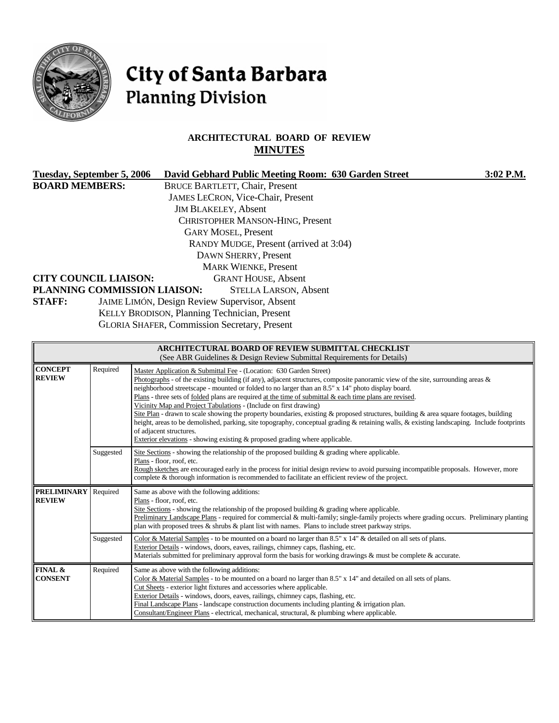

**FINAL & CONSENT**

# City of Santa Barbara **Planning Division**

# **ARCHITECTURAL BOARD OF REVIEW MINUTES**

| <b>Tuesday, September 5, 2006</b>                                                                                                                                     |                           | David Gebhard Public Meeting Room: 630 Garden Street                                                                                                                                                                                     | 3:02 P.M. |  |  |
|-----------------------------------------------------------------------------------------------------------------------------------------------------------------------|---------------------------|------------------------------------------------------------------------------------------------------------------------------------------------------------------------------------------------------------------------------------------|-----------|--|--|
| <b>BOARD MEMBERS:</b>                                                                                                                                                 |                           | <b>BRUCE BARTLETT, Chair, Present</b>                                                                                                                                                                                                    |           |  |  |
|                                                                                                                                                                       |                           | JAMES LECRON, Vice-Chair, Present                                                                                                                                                                                                        |           |  |  |
|                                                                                                                                                                       |                           | <b>JIM BLAKELEY, Absent</b>                                                                                                                                                                                                              |           |  |  |
|                                                                                                                                                                       |                           | <b>CHRISTOPHER MANSON-HING, Present</b>                                                                                                                                                                                                  |           |  |  |
|                                                                                                                                                                       |                           | <b>GARY MOSEL, Present</b>                                                                                                                                                                                                               |           |  |  |
|                                                                                                                                                                       |                           | RANDY MUDGE, Present (arrived at 3:04)                                                                                                                                                                                                   |           |  |  |
|                                                                                                                                                                       |                           | DAWN SHERRY, Present                                                                                                                                                                                                                     |           |  |  |
|                                                                                                                                                                       |                           | <b>MARK WIENKE, Present</b>                                                                                                                                                                                                              |           |  |  |
| <b>CITY COUNCIL LIAISON:</b>                                                                                                                                          |                           | <b>GRANT HOUSE, Absent</b>                                                                                                                                                                                                               |           |  |  |
|                                                                                                                                                                       |                           | PLANNING COMMISSION LIAISON:<br><b>STELLA LARSON, Absent</b>                                                                                                                                                                             |           |  |  |
| <b>STAFF:</b>                                                                                                                                                         |                           | JAIME LIMÓN, Design Review Supervisor, Absent                                                                                                                                                                                            |           |  |  |
|                                                                                                                                                                       |                           | KELLY BRODISON, Planning Technician, Present                                                                                                                                                                                             |           |  |  |
|                                                                                                                                                                       |                           | <b>GLORIA SHAFER, Commission Secretary, Present</b>                                                                                                                                                                                      |           |  |  |
|                                                                                                                                                                       |                           |                                                                                                                                                                                                                                          |           |  |  |
|                                                                                                                                                                       |                           | <b>ARCHITECTURAL BOARD OF REVIEW SUBMITTAL CHECKLIST</b>                                                                                                                                                                                 |           |  |  |
|                                                                                                                                                                       |                           | (See ABR Guidelines & Design Review Submittal Requirements for Details)                                                                                                                                                                  |           |  |  |
| <b>CONCEPT</b>                                                                                                                                                        | Required                  | Master Application & Submittal Fee - (Location: 630 Garden Street)                                                                                                                                                                       |           |  |  |
| <b>REVIEW</b>                                                                                                                                                         |                           | Photographs - of the existing building (if any), adjacent structures, composite panoramic view of the site, surrounding areas $\&$<br>neighborhood streetscape - mounted or folded to no larger than an 8.5" x 14" photo display board.  |           |  |  |
|                                                                                                                                                                       |                           | Plans - three sets of folded plans are required at the time of submittal $\&$ each time plans are revised.                                                                                                                               |           |  |  |
|                                                                                                                                                                       |                           | Vicinity Map and Project Tabulations - (Include on first drawing)                                                                                                                                                                        |           |  |  |
|                                                                                                                                                                       |                           | Site Plan - drawn to scale showing the property boundaries, existing & proposed structures, building & area square footages, building                                                                                                    |           |  |  |
| height, areas to be demolished, parking, site topography, conceptual grading & retaining walls, & existing landscaping. Include footprints<br>of adjacent structures. |                           |                                                                                                                                                                                                                                          |           |  |  |
| Exterior elevations - showing existing & proposed grading where applicable.                                                                                           |                           |                                                                                                                                                                                                                                          |           |  |  |
| Site Sections - showing the relationship of the proposed building & grading where applicable.<br>Suggested                                                            |                           |                                                                                                                                                                                                                                          |           |  |  |
|                                                                                                                                                                       | Plans - floor, roof, etc. |                                                                                                                                                                                                                                          |           |  |  |
|                                                                                                                                                                       |                           | Rough sketches are encouraged early in the process for initial design review to avoid pursuing incompatible proposals. However, more<br>complete & thorough information is recommended to facilitate an efficient review of the project. |           |  |  |
| <b>PRELIMINARY</b>                                                                                                                                                    | Required                  | Same as above with the following additions:                                                                                                                                                                                              |           |  |  |
| <b>REVIEW</b>                                                                                                                                                         |                           | Plans - floor, roof, etc.                                                                                                                                                                                                                |           |  |  |

Site Sections - showing the relationship of the proposed building & grading where applicable.

Exterior Details - windows, doors, eaves, railings, chimney caps, flashing, etc.

Cut Sheets - exterior light fixtures and accessories where applicable. Exterior Details - windows, doors, eaves, railings, chimney caps, flashing, etc.

Required Same as above with the following additions:

plan with proposed trees & shrubs & plant list with names. Plans to include street parkway strips. Suggested Color & Material Samples - to be mounted on a board no larger than 8.5" x 14" & detailed on all sets of plans.

> Final Landscape Plans - landscape construction documents including planting & irrigation plan. Consultant/Engineer Plans - electrical, mechanical, structural, & plumbing where applicable.

Materials submitted for preliminary approval form the basis for working drawings & must be complete & accurate.

Color & Material Samples - to be mounted on a board no larger than 8.5" x 14" and detailed on all sets of plans.

Preliminary Landscape Plans - required for commercial & multi-family; single-family projects where grading occurs. Preliminary planting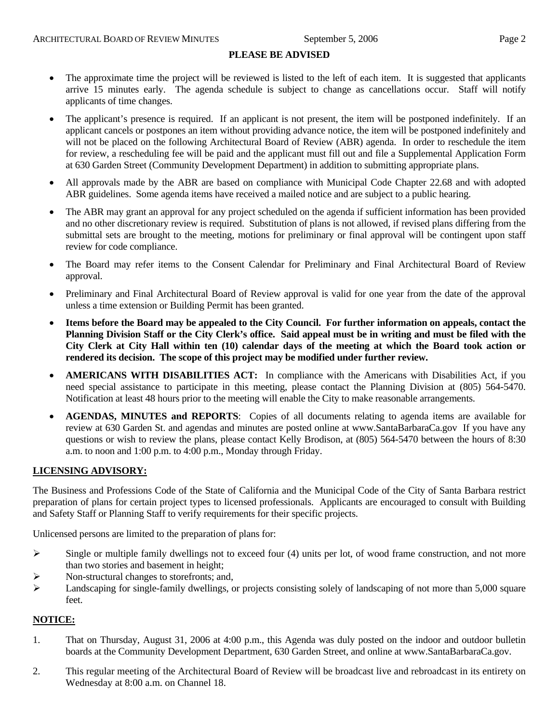#### **PLEASE BE ADVISED**

- The approximate time the project will be reviewed is listed to the left of each item. It is suggested that applicants arrive 15 minutes early. The agenda schedule is subject to change as cancellations occur. Staff will notify applicants of time changes.
- The applicant's presence is required. If an applicant is not present, the item will be postponed indefinitely. If an applicant cancels or postpones an item without providing advance notice, the item will be postponed indefinitely and will not be placed on the following Architectural Board of Review (ABR) agenda. In order to reschedule the item for review, a rescheduling fee will be paid and the applicant must fill out and file a Supplemental Application Form at 630 Garden Street (Community Development Department) in addition to submitting appropriate plans.
- All approvals made by the ABR are based on compliance with Municipal Code Chapter 22.68 and with adopted ABR guidelines. Some agenda items have received a mailed notice and are subject to a public hearing.
- The ABR may grant an approval for any project scheduled on the agenda if sufficient information has been provided and no other discretionary review is required. Substitution of plans is not allowed, if revised plans differing from the submittal sets are brought to the meeting, motions for preliminary or final approval will be contingent upon staff review for code compliance.
- The Board may refer items to the Consent Calendar for Preliminary and Final Architectural Board of Review approval.
- Preliminary and Final Architectural Board of Review approval is valid for one year from the date of the approval unless a time extension or Building Permit has been granted.
- **Items before the Board may be appealed to the City Council. For further information on appeals, contact the Planning Division Staff or the City Clerk's office. Said appeal must be in writing and must be filed with the City Clerk at City Hall within ten (10) calendar days of the meeting at which the Board took action or rendered its decision. The scope of this project may be modified under further review.**
- **AMERICANS WITH DISABILITIES ACT:** In compliance with the Americans with Disabilities Act, if you need special assistance to participate in this meeting, please contact the Planning Division at (805) 564-5470. Notification at least 48 hours prior to the meeting will enable the City to make reasonable arrangements.
- **AGENDAS, MINUTES and REPORTS**: Copies of all documents relating to agenda items are available for review at 630 Garden St. and agendas and minutes are posted online at [www.SantaBarbaraCa.gov](http://www.santabarbaraca.gov/) If you have any questions or wish to review the plans, please contact Kelly Brodison, at (805) 564-5470 between the hours of 8:30 a.m. to noon and 1:00 p.m. to 4:00 p.m., Monday through Friday.

#### **LICENSING ADVISORY:**

The Business and Professions Code of the State of California and the Municipal Code of the City of Santa Barbara restrict preparation of plans for certain project types to licensed professionals. Applicants are encouraged to consult with Building and Safety Staff or Planning Staff to verify requirements for their specific projects.

Unlicensed persons are limited to the preparation of plans for:

- $\triangleright$  Single or multiple family dwellings not to exceed four (4) units per lot, of wood frame construction, and not more than two stories and basement in height;
- ¾ Non-structural changes to storefronts; and,
- $\blacktriangleright$  Landscaping for single-family dwellings, or projects consisting solely of landscaping of not more than 5,000 square feet.

#### **NOTICE:**

- 1. That on Thursday, August 31, 2006 at 4:00 p.m., this Agenda was duly posted on the indoor and outdoor bulletin boards at the Community Development Department, 630 Garden Street, and online at www.SantaBarbaraCa.gov.
- 2. This regular meeting of the Architectural Board of Review will be broadcast live and rebroadcast in its entirety on Wednesday at 8:00 a.m. on Channel 18.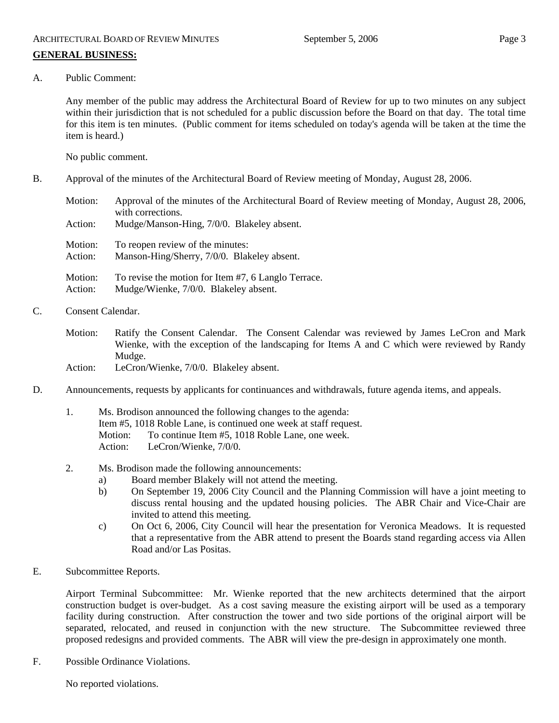# A. Public Comment:

Any member of the public may address the Architectural Board of Review for up to two minutes on any subject within their jurisdiction that is not scheduled for a public discussion before the Board on that day. The total time for this item is ten minutes. (Public comment for items scheduled on today's agenda will be taken at the time the item is heard.)

No public comment.

B. Approval of the minutes of the Architectural Board of Review meeting of Monday, August 28, 2006.

Motion: Approval of the minutes of the Architectural Board of Review meeting of Monday, August 28, 2006, with corrections. Action: Mudge/Manson-Hing, 7/0/0. Blakeley absent. Motion: To reopen review of the minutes: Action: Manson-Hing/Sherry, 7/0/0. Blakeley absent. Motion: To revise the motion for Item #7, 6 Langlo Terrace. Action: Mudge/Wienke, 7/0/0. Blakeley absent.

- C. Consent Calendar.
	- Motion: Ratify the Consent Calendar. The Consent Calendar was reviewed by James LeCron and Mark Wienke, with the exception of the landscaping for Items A and C which were reviewed by Randy Mudge.
	- Action: LeCron/Wienke, 7/0/0. Blakeley absent.
- D. Announcements, requests by applicants for continuances and withdrawals, future agenda items, and appeals.
	- 1. Ms. Brodison announced the following changes to the agenda: Item #5, 1018 Roble Lane, is continued one week at staff request. Motion: To continue Item #5, 1018 Roble Lane, one week. Action: LeCron/Wienke, 7/0/0.
	- 2. Ms. Brodison made the following announcements:
		- a) Board member Blakely will not attend the meeting.
		- b) On September 19, 2006 City Council and the Planning Commission will have a joint meeting to discuss rental housing and the updated housing policies. The ABR Chair and Vice-Chair are invited to attend this meeting.
		- c) On Oct 6, 2006, City Council will hear the presentation for Veronica Meadows. It is requested that a representative from the ABR attend to present the Boards stand regarding access via Allen Road and/or Las Positas.
- E. Subcommittee Reports.

Airport Terminal Subcommittee: Mr. Wienke reported that the new architects determined that the airport construction budget is over-budget. As a cost saving measure the existing airport will be used as a temporary facility during construction. After construction the tower and two side portions of the original airport will be separated, relocated, and reused in conjunction with the new structure. The Subcommittee reviewed three proposed redesigns and provided comments. The ABR will view the pre-design in approximately one month.

F. Possible Ordinance Violations.

No reported violations.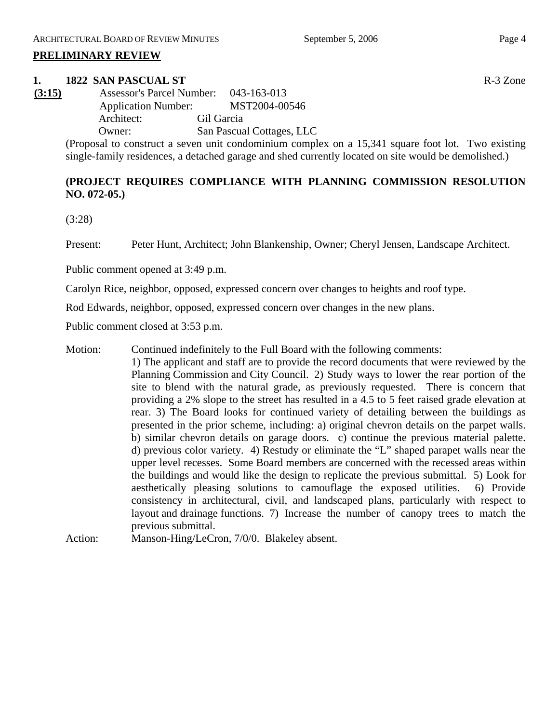#### **PRELIMINARY REVIEW**

#### **1. 1822 SAN PASCUAL ST** R-3 Zone

**(3:15)** Assessor's Parcel Number: 043-163-013 Application Number: MST2004-00546 Architect: Gil Garcia Owner: San Pascual Cottages, LLC

> (Proposal to construct a seven unit condominium complex on a 15,341 square foot lot. Two existing single-family residences, a detached garage and shed currently located on site would be demolished.)

# **(PROJECT REQUIRES COMPLIANCE WITH PLANNING COMMISSION RESOLUTION NO. 072-05.)**

(3:28)

Present: Peter Hunt, Architect; John Blankenship, Owner; Cheryl Jensen, Landscape Architect.

Public comment opened at 3:49 p.m.

Carolyn Rice, neighbor, opposed, expressed concern over changes to heights and roof type.

Rod Edwards, neighbor, opposed, expressed concern over changes in the new plans.

Public comment closed at 3:53 p.m.

- Motion: Continued indefinitely to the Full Board with the following comments: 1) The applicant and staff are to provide the record documents that were reviewed by the Planning Commission and City Council. 2) Study ways to lower the rear portion of the site to blend with the natural grade, as previously requested. There is concern that providing a 2% slope to the street has resulted in a 4.5 to 5 feet raised grade elevation at rear. 3) The Board looks for continued variety of detailing between the buildings as presented in the prior scheme, including: a) original chevron details on the parpet walls. b) similar chevron details on garage doors. c) continue the previous material palette. d) previous color variety. 4) Restudy or eliminate the "L" shaped parapet walls near the upper level recesses. Some Board members are concerned with the recessed areas within the buildings and would like the design to replicate the previous submittal. 5) Look for aesthetically pleasing solutions to camouflage the exposed utilities. 6) Provide consistency in architectural, civil, and landscaped plans, particularly with respect to layout and drainage functions. 7) Increase the number of canopy trees to match the previous submittal.
- Action: Manson-Hing/LeCron, 7/0/0. Blakeley absent.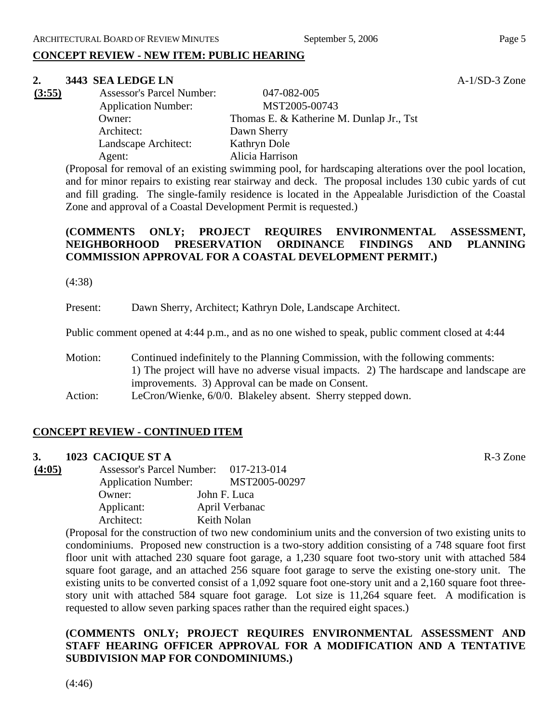# **CONCEPT REVIEW - NEW ITEM: PUBLIC HEARING**

#### **2. 3443 SEA LEDGE LN A-1/SD-3 Zone**

| (3:55) | <b>Assessor's Parcel Number:</b> | 047-082-005                              |
|--------|----------------------------------|------------------------------------------|
|        | <b>Application Number:</b>       | MST2005-00743                            |
|        | Owner:                           | Thomas E. & Katherine M. Dunlap Jr., Tst |
|        | Architect:                       | Dawn Sherry                              |
|        | Landscape Architect:             | Kathryn Dole                             |
|        | Agent:                           | Alicia Harrison                          |

(Proposal for removal of an existing swimming pool, for hardscaping alterations over the pool location, and for minor repairs to existing rear stairway and deck. The proposal includes 130 cubic yards of cut and fill grading. The single-family residence is located in the Appealable Jurisdiction of the Coastal Zone and approval of a Coastal Development Permit is requested.)

# **(COMMENTS ONLY; PROJECT REQUIRES ENVIRONMENTAL ASSESSMENT, NEIGHBORHOOD PRESERVATION ORDINANCE FINDINGS AND PLANNING COMMISSION APPROVAL FOR A COASTAL DEVELOPMENT PERMIT.)**

(4:38)

Present: Dawn Sherry, Architect; Kathryn Dole, Landscape Architect.

Public comment opened at 4:44 p.m., and as no one wished to speak, public comment closed at 4:44

- Motion: Continued indefinitely to the Planning Commission, with the following comments: 1) The project will have no adverse visual impacts. 2) The hardscape and landscape are improvements. 3) Approval can be made on Consent.
- Action: LeCron/Wienke, 6/0/0. Blakeley absent. Sherry stepped down.

# **CONCEPT REVIEW - CONTINUED ITEM**

#### **3. 1023 CACIQUE ST A** R-3 Zone

**(4:05)** Assessor's Parcel Number: 017-213-014 Application Number: MST2005-00297 Owner: John F. Luca Applicant: April Verbanac Architect: Keith Nolan

(Proposal for the construction of two new condominium units and the conversion of two existing units to condominiums. Proposed new construction is a two-story addition consisting of a 748 square foot first floor unit with attached 230 square foot garage, a 1,230 square foot two-story unit with attached 584 square foot garage, and an attached 256 square foot garage to serve the existing one-story unit. The existing units to be converted consist of a 1,092 square foot one-story unit and a 2,160 square foot threestory unit with attached 584 square foot garage. Lot size is 11,264 square feet. A modification is requested to allow seven parking spaces rather than the required eight spaces.)

# **(COMMENTS ONLY; PROJECT REQUIRES ENVIRONMENTAL ASSESSMENT AND STAFF HEARING OFFICER APPROVAL FOR A MODIFICATION AND A TENTATIVE SUBDIVISION MAP FOR CONDOMINIUMS.)**

(4:46)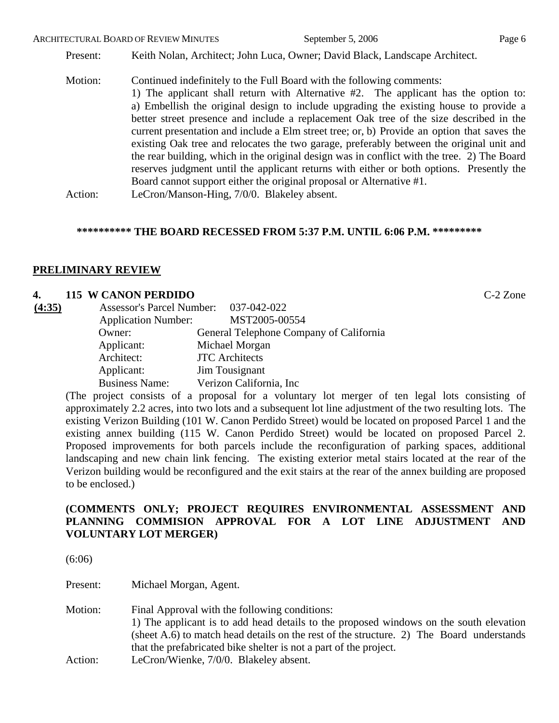Present: Keith Nolan, Architect; John Luca, Owner; David Black, Landscape Architect.

Motion: Continued indefinitely to the Full Board with the following comments: 1) The applicant shall return with Alternative #2. The applicant has the option to: a) Embellish the original design to include upgrading the existing house to provide a better street presence and include a replacement Oak tree of the size described in the current presentation and include a Elm street tree; or, b) Provide an option that saves the existing Oak tree and relocates the two garage, preferably between the original unit and the rear building, which in the original design was in conflict with the tree. 2) The Board reserves judgment until the applicant returns with either or both options. Presently the Board cannot support either the original proposal or Alternative #1. Action: LeCron/Manson-Hing, 7/0/0. Blakeley absent.

# **\*\*\*\*\*\*\*\*\*\* THE BOARD RECESSED FROM 5:37 P.M. UNTIL 6:06 P.M. \*\*\*\*\*\*\*\*\***

#### **PRELIMINARY REVIEW**

#### **4. 115 W CANON PERDIDO** C-2 Zone

| (4:35) | Assessor's Parcel Number: 037-042-022 |                                         |
|--------|---------------------------------------|-----------------------------------------|
|        | <b>Application Number:</b>            | MST2005-00554                           |
|        | Owner:                                | General Telephone Company of California |
|        | Applicant:                            | Michael Morgan                          |
|        | Architect:                            | <b>JTC</b> Architects                   |
|        | Applicant:                            | Jim Tousignant                          |
|        | <b>Business Name:</b>                 | Verizon California, Inc.                |

(The project consists of a proposal for a voluntary lot merger of ten legal lots consisting of approximately 2.2 acres, into two lots and a subsequent lot line adjustment of the two resulting lots. The existing Verizon Building (101 W. Canon Perdido Street) would be located on proposed Parcel 1 and the existing annex building (115 W. Canon Perdido Street) would be located on proposed Parcel 2. Proposed improvements for both parcels include the reconfiguration of parking spaces, additional landscaping and new chain link fencing. The existing exterior metal stairs located at the rear of the Verizon building would be reconfigured and the exit stairs at the rear of the annex building are proposed to be enclosed.)

# **(COMMENTS ONLY; PROJECT REQUIRES ENVIRONMENTAL ASSESSMENT AND PLANNING COMMISION APPROVAL FOR A LOT LINE ADJUSTMENT AND VOLUNTARY LOT MERGER)**

| (6:06)   |                                                                                                                                                                                                                                                                                                          |
|----------|----------------------------------------------------------------------------------------------------------------------------------------------------------------------------------------------------------------------------------------------------------------------------------------------------------|
| Present: | Michael Morgan, Agent.                                                                                                                                                                                                                                                                                   |
| Motion:  | Final Approval with the following conditions:<br>1) The applicant is to add head details to the proposed windows on the south elevation<br>(sheet A.6) to match head details on the rest of the structure. 2) The Board understands<br>that the prefabricated bike shelter is not a part of the project. |
| Action:  | LeCron/Wienke, 7/0/0. Blakeley absent.                                                                                                                                                                                                                                                                   |
|          |                                                                                                                                                                                                                                                                                                          |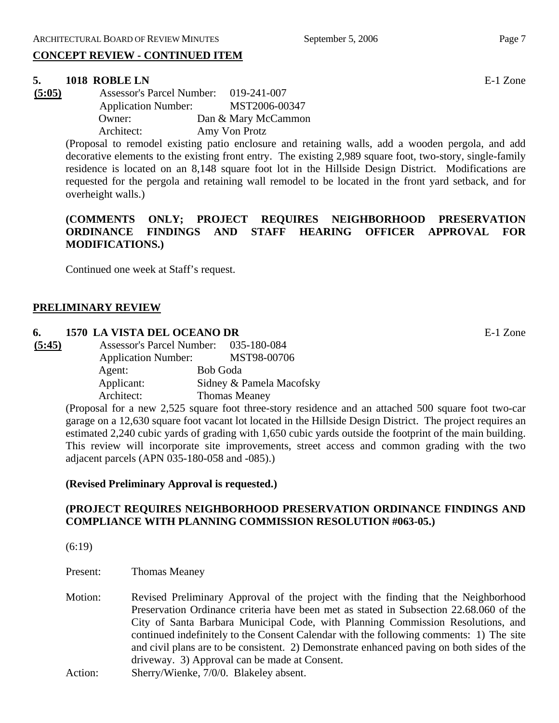# **CONCEPT REVIEW - CONTINUED ITEM**

# **5. 1018 ROBLE LN** E-1 Zone

| (5:05) | <b>Assessor's Parcel Number:</b> | 019-241-007         |
|--------|----------------------------------|---------------------|
|        | <b>Application Number:</b>       | MST2006-00347       |
|        | Owner:                           | Dan & Mary McCammon |
|        | Architect:                       | Amy Von Protz       |

(Proposal to remodel existing patio enclosure and retaining walls, add a wooden pergola, and add decorative elements to the existing front entry. The existing 2,989 square foot, two-story, single-family residence is located on an 8,148 square foot lot in the Hillside Design District. Modifications are requested for the pergola and retaining wall remodel to be located in the front yard setback, and for overheight walls.)

# **(COMMENTS ONLY; PROJECT REQUIRES NEIGHBORHOOD PRESERVATION ORDINANCE FINDINGS AND STAFF HEARING OFFICER APPROVAL FOR MODIFICATIONS.)**

Continued one week at Staff's request.

#### **PRELIMINARY REVIEW**

#### **6. 1570 LA VISTA DEL OCEANO DR** E-1 Zone

| (5:45) | <b>Assessor's Parcel Number:</b> |          | 035-180-084              |
|--------|----------------------------------|----------|--------------------------|
|        | <b>Application Number:</b>       |          | MST98-00706              |
|        | Agent:                           | Bob Goda |                          |
|        | Applicant:                       |          | Sidney & Pamela Macofsky |
|        | Architect:                       |          | <b>Thomas Meaney</b>     |

(Proposal for a new 2,525 square foot three-story residence and an attached 500 square foot two-car garage on a 12,630 square foot vacant lot located in the Hillside Design District. The project requires an estimated 2,240 cubic yards of grading with 1,650 cubic yards outside the footprint of the main building. This review will incorporate site improvements, street access and common grading with the two adjacent parcels (APN 035-180-058 and -085).)

#### **(Revised Preliminary Approval is requested.)**

# **(PROJECT REQUIRES NEIGHBORHOOD PRESERVATION ORDINANCE FINDINGS AND COMPLIANCE WITH PLANNING COMMISSION RESOLUTION #063-05.)**

(6:19)

- Present: Thomas Meaney
- Motion: Revised Preliminary Approval of the project with the finding that the Neighborhood Preservation Ordinance criteria have been met as stated in Subsection 22.68.060 of the City of Santa Barbara Municipal Code, with Planning Commission Resolutions, and continued indefinitely to the Consent Calendar with the following comments: 1) The site and civil plans are to be consistent. 2) Demonstrate enhanced paving on both sides of the driveway. 3) Approval can be made at Consent. Action: Sherry/Wienke, 7/0/0. Blakeley absent.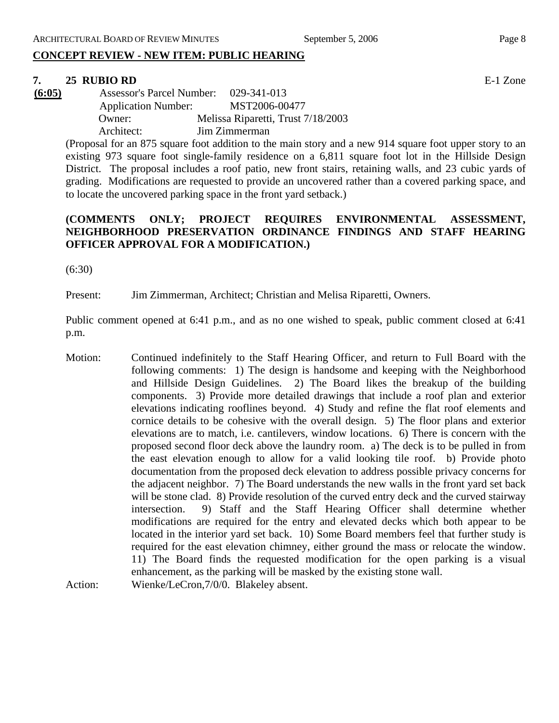# **CONCEPT REVIEW - NEW ITEM: PUBLIC HEARING**

#### **7. 25 RUBIO RD** E-1 Zone

**(6:05)** Assessor's Parcel Number: 029-341-013 Application Number: MST2006-00477 Owner: Melissa Riparetti, Trust 7/18/2003 Architect: Jim Zimmerman

(Proposal for an 875 square foot addition to the main story and a new 914 square foot upper story to an existing 973 square foot single-family residence on a 6,811 square foot lot in the Hillside Design District. The proposal includes a roof patio, new front stairs, retaining walls, and 23 cubic yards of grading. Modifications are requested to provide an uncovered rather than a covered parking space, and to locate the uncovered parking space in the front yard setback.)

### **(COMMENTS ONLY; PROJECT REQUIRES ENVIRONMENTAL ASSESSMENT, NEIGHBORHOOD PRESERVATION ORDINANCE FINDINGS AND STAFF HEARING OFFICER APPROVAL FOR A MODIFICATION.)**

(6:30)

Present: Jim Zimmerman, Architect; Christian and Melisa Riparetti, Owners.

Public comment opened at 6:41 p.m., and as no one wished to speak, public comment closed at 6:41 p.m.

Motion: Continued indefinitely to the Staff Hearing Officer, and return to Full Board with the following comments: 1) The design is handsome and keeping with the Neighborhood and Hillside Design Guidelines. 2) The Board likes the breakup of the building components. 3) Provide more detailed drawings that include a roof plan and exterior elevations indicating rooflines beyond. 4) Study and refine the flat roof elements and cornice details to be cohesive with the overall design. 5) The floor plans and exterior elevations are to match, i.e. cantilevers, window locations. 6) There is concern with the proposed second floor deck above the laundry room. a) The deck is to be pulled in from the east elevation enough to allow for a valid looking tile roof. b) Provide photo documentation from the proposed deck elevation to address possible privacy concerns for the adjacent neighbor. 7) The Board understands the new walls in the front yard set back will be stone clad. 8) Provide resolution of the curved entry deck and the curved stairway intersection. 9) Staff and the Staff Hearing Officer shall determine whether modifications are required for the entry and elevated decks which both appear to be located in the interior yard set back. 10) Some Board members feel that further study is required for the east elevation chimney, either ground the mass or relocate the window. 11) The Board finds the requested modification for the open parking is a visual enhancement, as the parking will be masked by the existing stone wall. Action: Wienke/LeCron, 7/0/0. Blakeley absent.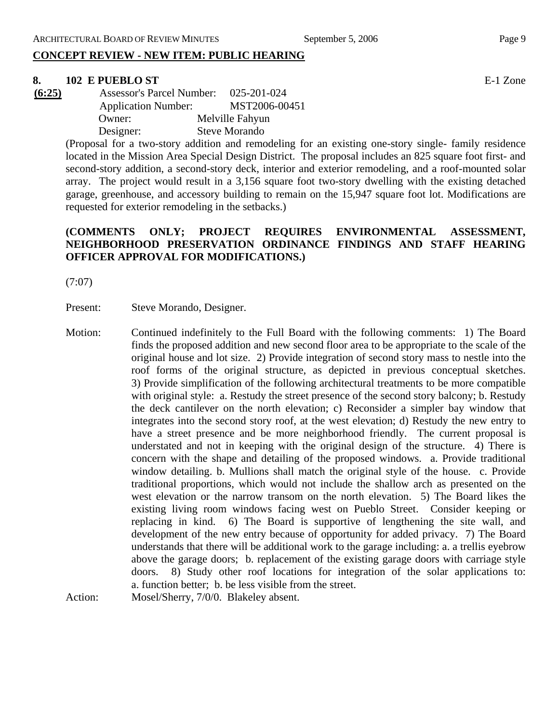# **CONCEPT REVIEW - NEW ITEM: PUBLIC HEARING**

#### **8. 102 E PUEBLO ST** E-1 Zone

**(6:25)** Assessor's Parcel Number: 025-201-024 Application Number: MST2006-00451 Owner: Melville Fahyun Designer: Steve Morando

> (Proposal for a two-story addition and remodeling for an existing one-story single- family residence located in the Mission Area Special Design District. The proposal includes an 825 square foot first- and second-story addition, a second-story deck, interior and exterior remodeling, and a roof-mounted solar array. The project would result in a 3,156 square foot two-story dwelling with the existing detached garage, greenhouse, and accessory building to remain on the 15,947 square foot lot. Modifications are requested for exterior remodeling in the setbacks.)

# **(COMMENTS ONLY; PROJECT REQUIRES ENVIRONMENTAL ASSESSMENT, NEIGHBORHOOD PRESERVATION ORDINANCE FINDINGS AND STAFF HEARING OFFICER APPROVAL FOR MODIFICATIONS.)**

(7:07)

Present: Steve Morando, Designer.

Motion: Continued indefinitely to the Full Board with the following comments: 1) The Board finds the proposed addition and new second floor area to be appropriate to the scale of the original house and lot size. 2) Provide integration of second story mass to nestle into the roof forms of the original structure, as depicted in previous conceptual sketches. 3) Provide simplification of the following architectural treatments to be more compatible with original style: a. Restudy the street presence of the second story balcony; b. Restudy the deck cantilever on the north elevation; c) Reconsider a simpler bay window that integrates into the second story roof, at the west elevation; d) Restudy the new entry to have a street presence and be more neighborhood friendly. The current proposal is understated and not in keeping with the original design of the structure. 4) There is concern with the shape and detailing of the proposed windows. a. Provide traditional window detailing. b. Mullions shall match the original style of the house. c. Provide traditional proportions, which would not include the shallow arch as presented on the west elevation or the narrow transom on the north elevation. 5) The Board likes the existing living room windows facing west on Pueblo Street. Consider keeping or replacing in kind. 6) The Board is supportive of lengthening the site wall, and development of the new entry because of opportunity for added privacy. 7) The Board understands that there will be additional work to the garage including: a. a trellis eyebrow above the garage doors; b. replacement of the existing garage doors with carriage style doors. 8) Study other roof locations for integration of the solar applications to: a. function better; b. be less visible from the street.

Action: Mosel/Sherry, 7/0/0. Blakeley absent.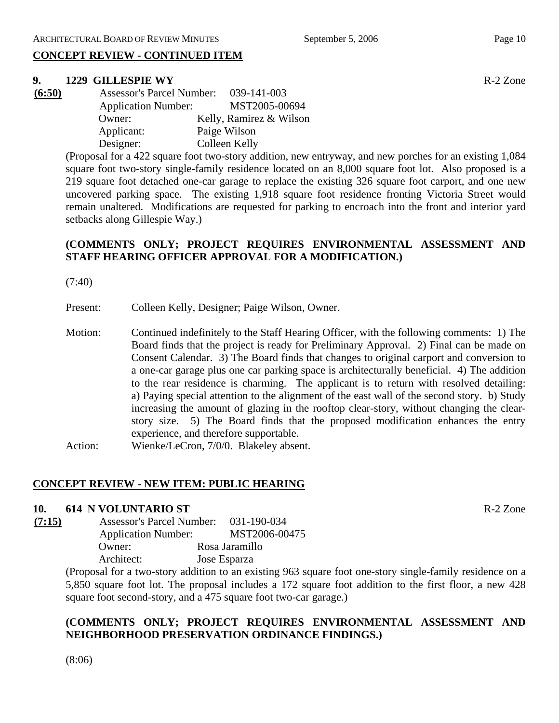# **CONCEPT REVIEW - CONTINUED ITEM**

#### **9. 1229 GILLESPIE WY** R-2 Zone

| (6:50) | <b>Assessor's Parcel Number:</b> | 039-141-003             |
|--------|----------------------------------|-------------------------|
|        | <b>Application Number:</b>       | MST2005-00694           |
|        | Owner:                           | Kelly, Ramirez & Wilson |
|        | Applicant:                       | Paige Wilson            |
|        | Designer:                        | Colleen Kelly           |

(Proposal for a 422 square foot two-story addition, new entryway, and new porches for an existing 1,084 square foot two-story single-family residence located on an 8,000 square foot lot. Also proposed is a 219 square foot detached one-car garage to replace the existing 326 square foot carport, and one new uncovered parking space. The existing 1,918 square foot residence fronting Victoria Street would remain unaltered. Modifications are requested for parking to encroach into the front and interior yard setbacks along Gillespie Way.)

# **(COMMENTS ONLY; PROJECT REQUIRES ENVIRONMENTAL ASSESSMENT AND STAFF HEARING OFFICER APPROVAL FOR A MODIFICATION.)**

(7:40)

Present: Colleen Kelly, Designer; Paige Wilson, Owner.

- Motion: Continued indefinitely to the Staff Hearing Officer, with the following comments: 1) The Board finds that the project is ready for Preliminary Approval. 2) Final can be made on Consent Calendar. 3) The Board finds that changes to original carport and conversion to a one-car garage plus one car parking space is architecturally beneficial. 4) The addition to the rear residence is charming. The applicant is to return with resolved detailing: a) Paying special attention to the alignment of the east wall of the second story. b) Study increasing the amount of glazing in the rooftop clear-story, without changing the clearstory size. 5) The Board finds that the proposed modification enhances the entry experience, and therefore supportable.
- Action: Wienke/LeCron, 7/0/0. Blakeley absent.

# **CONCEPT REVIEW - NEW ITEM: PUBLIC HEARING**

#### **10. 614 N VOLUNTARIO ST** R-2 Zone

| (7:15) | <b>Assessor's Parcel Number:</b> | 031-190-034    |
|--------|----------------------------------|----------------|
|        | <b>Application Number:</b>       | MST2006-00475  |
|        | Owner:                           | Rosa Jaramillo |
|        | Architect:                       | Jose Esparza   |

(Proposal for a two-story addition to an existing 963 square foot one-story single-family residence on a 5,850 square foot lot. The proposal includes a 172 square foot addition to the first floor, a new 428 square foot second-story, and a 475 square foot two-car garage.)

# **(COMMENTS ONLY; PROJECT REQUIRES ENVIRONMENTAL ASSESSMENT AND NEIGHBORHOOD PRESERVATION ORDINANCE FINDINGS.)**

(8:06)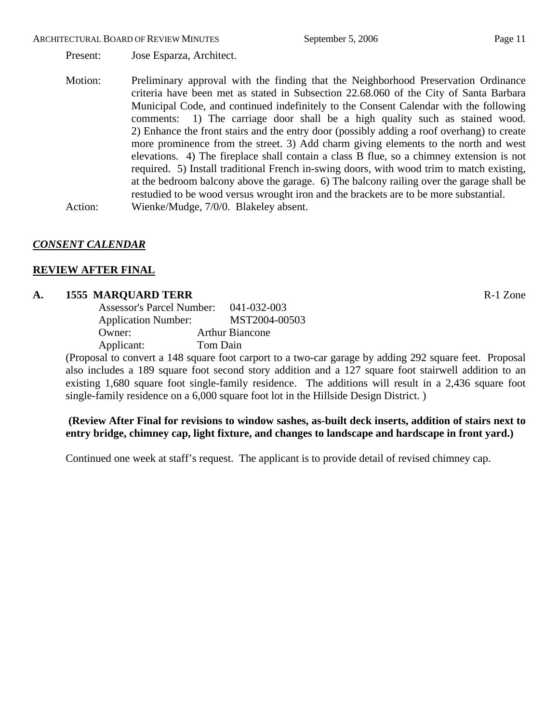#### ARCHITECTURAL BOARD OF REVIEW MINUTES September 5, 2006 Page 11

Present: Jose Esparza, Architect.

Motion: Preliminary approval with the finding that the Neighborhood Preservation Ordinance criteria have been met as stated in Subsection 22.68.060 of the City of Santa Barbara Municipal Code, and continued indefinitely to the Consent Calendar with the following comments: 1) The carriage door shall be a high quality such as stained wood. 2) Enhance the front stairs and the entry door (possibly adding a roof overhang) to create more prominence from the street. 3) Add charm giving elements to the north and west elevations. 4) The fireplace shall contain a class B flue, so a chimney extension is not required. 5) Install traditional French in-swing doors, with wood trim to match existing, at the bedroom balcony above the garage. 6) The balcony railing over the garage shall be restudied to be wood versus wrought iron and the brackets are to be more substantial. Action: Wienke/Mudge, 7/0/0. Blakeley absent.

# *CONSENT CALENDAR*

#### **REVIEW AFTER FINAL**

#### **A. 1555 MARQUARD TERR** R-1 Zone

| <b>Assessor's Parcel Number:</b> | 041-032-003            |
|----------------------------------|------------------------|
| <b>Application Number:</b>       | MST2004-00503          |
| Owner:                           | <b>Arthur Biancone</b> |
| Applicant:                       | Tom Dain               |

(Proposal to convert a 148 square foot carport to a two-car garage by adding 292 square feet. Proposal also includes a 189 square foot second story addition and a 127 square foot stairwell addition to an existing 1,680 square foot single-family residence. The additions will result in a 2,436 square foot single-family residence on a 6,000 square foot lot in the Hillside Design District. )

# **(Review After Final for revisions to window sashes, as-built deck inserts, addition of stairs next to entry bridge, chimney cap, light fixture, and changes to landscape and hardscape in front yard.)**

Continued one week at staff's request. The applicant is to provide detail of revised chimney cap.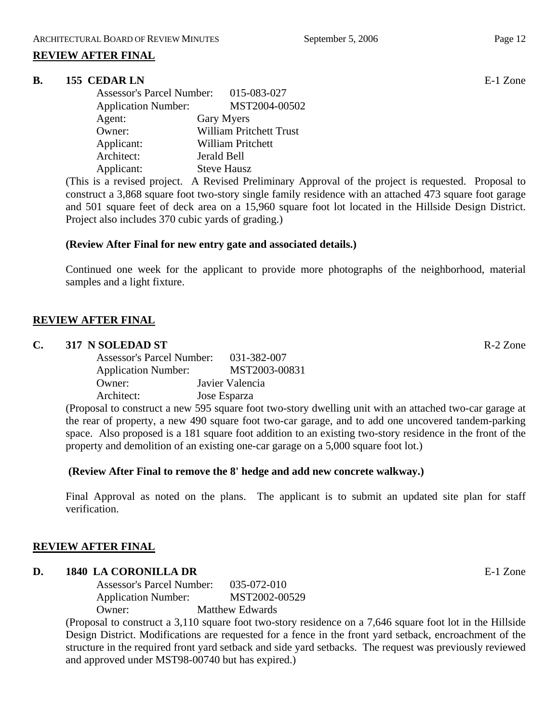# **REVIEW AFTER FINAL**

#### **B.** 155 CEDAR LN **E-1** Zone

|                            | Assessor's Parcel Number: 015-083-027 |
|----------------------------|---------------------------------------|
| <b>Application Number:</b> | MST2004-00502                         |
| Agent:                     | Gary Myers                            |
| Owner:                     | <b>William Pritchett Trust</b>        |
| Applicant:                 | William Pritchett                     |
| Architect:                 | Jerald Bell                           |
| Applicant:                 | <b>Steve Hausz</b>                    |

(This is a revised project. A Revised Preliminary Approval of the project is requested. Proposal to construct a 3,868 square foot two-story single family residence with an attached 473 square foot garage and 501 square feet of deck area on a 15,960 square foot lot located in the Hillside Design District. Project also includes 370 cubic yards of grading.)

#### **(Review After Final for new entry gate and associated details.)**

Continued one week for the applicant to provide more photographs of the neighborhood, material samples and a light fixture.

# **REVIEW AFTER FINAL**

#### **C. 317 N SOLEDAD ST** R-2 Zone

| <b>Assessor's Parcel Number:</b>                                |              | 031-382-007     |
|-----------------------------------------------------------------|--------------|-----------------|
| <b>Application Number:</b>                                      |              | MST2003-00831   |
| Owner:                                                          |              | Javier Valencia |
| Architect:                                                      | Jose Esparza |                 |
| (Decree 1 to constant of a new FOF constant $f$ of two straight |              |                 |

(Proposal to construct a new 595 square foot two-story dwelling unit with an attached two-car garage at the rear of property, a new 490 square foot two-car garage, and to add one uncovered tandem-parking space. Also proposed is a 181 square foot addition to an existing two-story residence in the front of the property and demolition of an existing one-car garage on a 5,000 square foot lot.)

#### **(Review After Final to remove the 8' hedge and add new concrete walkway.)**

Final Approval as noted on the plans. The applicant is to submit an updated site plan for staff verification.

#### **REVIEW AFTER FINAL**

# **D. 1840 LA CORONILLA DR** E-1 Zone

Assessor's Parcel Number: 035-072-010 Application Number: MST2002-00529 Owner: Matthew Edwards

(Proposal to construct a 3,110 square foot two-story residence on a 7,646 square foot lot in the Hillside Design District. Modifications are requested for a fence in the front yard setback, encroachment of the structure in the required front yard setback and side yard setbacks. The request was previously reviewed and approved under MST98-00740 but has expired.)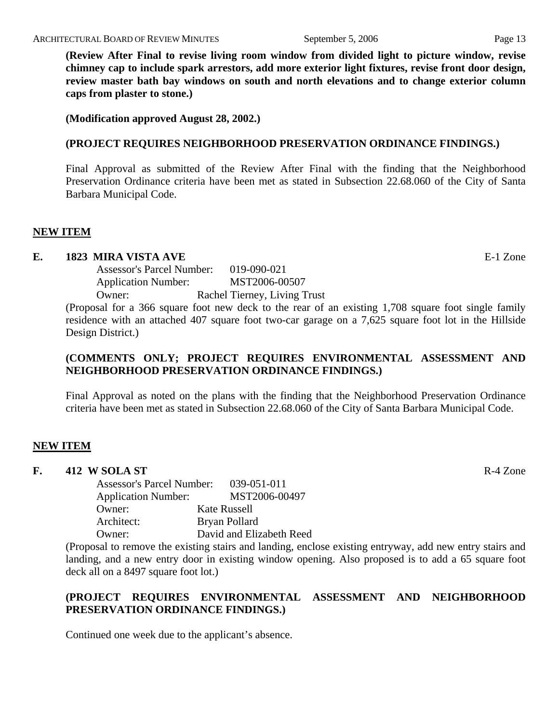**(Review After Final to revise living room window from divided light to picture window, revise chimney cap to include spark arrestors, add more exterior light fixtures, revise front door design, review master bath bay windows on south and north elevations and to change exterior column caps from plaster to stone.)** 

**(Modification approved August 28, 2002.)** 

#### **(PROJECT REQUIRES NEIGHBORHOOD PRESERVATION ORDINANCE FINDINGS.)**

Final Approval as submitted of the Review After Final with the finding that the Neighborhood Preservation Ordinance criteria have been met as stated in Subsection 22.68.060 of the City of Santa Barbara Municipal Code.

#### **NEW ITEM**

### **E. 1823 MIRA VISTA AVE** E-1 Zone

Assessor's Parcel Number: 019-090-021 Application Number: MST2006-00507 Owner: Rachel Tierney, Living Trust

(Proposal for a 366 square foot new deck to the rear of an existing 1,708 square foot single family residence with an attached 407 square foot two-car garage on a 7,625 square foot lot in the Hillside Design District.)

### **(COMMENTS ONLY; PROJECT REQUIRES ENVIRONMENTAL ASSESSMENT AND NEIGHBORHOOD PRESERVATION ORDINANCE FINDINGS.)**

Final Approval as noted on the plans with the finding that the Neighborhood Preservation Ordinance criteria have been met as stated in Subsection 22.68.060 of the City of Santa Barbara Municipal Code.

#### **NEW ITEM**

#### **F.** 412 W SOLA ST **R-4** Zone

Assessor's Parcel Number: 039-051-011 Application Number: MST2006-00497 Owner: Kate Russell Architect: Bryan Pollard Owner: David and Elizabeth Reed

(Proposal to remove the existing stairs and landing, enclose existing entryway, add new entry stairs and landing, and a new entry door in existing window opening. Also proposed is to add a 65 square foot deck all on a 8497 square foot lot.)

# **(PROJECT REQUIRES ENVIRONMENTAL ASSESSMENT AND NEIGHBORHOOD PRESERVATION ORDINANCE FINDINGS.)**

Continued one week due to the applicant's absence.